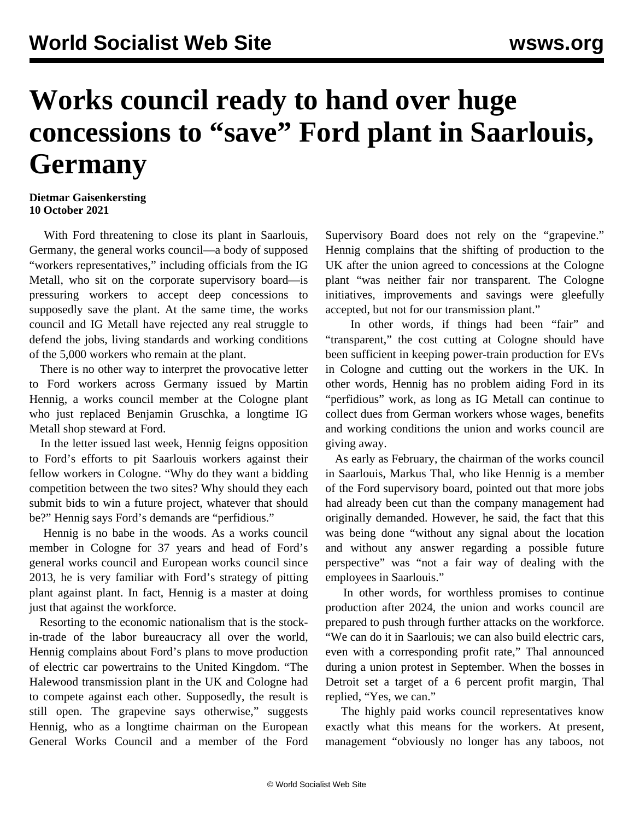## **Works council ready to hand over huge concessions to "save" Ford plant in Saarlouis, Germany**

## **Dietmar Gaisenkersting 10 October 2021**

 With Ford threatening to close its plant in Saarlouis, Germany, the general works council—a body of supposed "workers representatives," including officials from the IG Metall, who sit on the corporate supervisory board—is pressuring workers to accept deep concessions to supposedly save the plant. At the same time, the works council and IG Metall have rejected any real struggle to defend the jobs, living standards and working conditions of the 5,000 workers who remain at the plant.

 There is no other way to interpret the provocative letter to Ford workers across Germany issued by Martin Hennig, a works council member at the Cologne plant who just replaced Benjamin Gruschka, a longtime IG Metall shop steward at Ford.

 In the letter issued last week, Hennig feigns opposition to Ford's efforts to pit Saarlouis workers against their fellow workers in Cologne. "Why do they want a bidding competition between the two sites? Why should they each submit bids to win a future project, whatever that should be?" Hennig says Ford's demands are "perfidious."

 Hennig is no babe in the woods. As a works council member in Cologne for 37 years and head of Ford's general works council and European works council since 2013, he is very familiar with Ford's strategy of pitting plant against plant. In fact, Hennig is a master at doing just that against the workforce.

 Resorting to the economic nationalism that is the stockin-trade of the labor bureaucracy all over the world, Hennig complains about Ford's plans to move production of electric car powertrains to the United Kingdom. "The Halewood transmission plant in the UK and Cologne had to compete against each other. Supposedly, the result is still open. The grapevine says otherwise," suggests Hennig, who as a longtime chairman on the European General Works Council and a member of the Ford

Supervisory Board does not rely on the "grapevine." Hennig complains that the shifting of production to the UK after the union agreed to concessions at the Cologne plant "was neither fair nor transparent. The Cologne initiatives, improvements and savings were gleefully accepted, but not for our transmission plant."

 In other words, if things had been "fair" and "transparent," the cost cutting at Cologne should have been sufficient in keeping power-train production for EVs in Cologne and cutting out the workers in the UK. In other words, Hennig has no problem aiding Ford in its "perfidious" work, as long as IG Metall can continue to collect dues from German workers whose wages, benefits and working conditions the union and works council are giving away.

 As early as February, the chairman of the works council in Saarlouis, Markus Thal, who like Hennig is a member of the Ford supervisory board, pointed out that more jobs had already been cut than the company management had originally demanded. However, he said, the fact that this was being done "without any signal about the location and without any answer regarding a possible future perspective" was "not a fair way of dealing with the employees in Saarlouis."

 In other words, for worthless promises to continue production after 2024, the union and works council are prepared to push through further attacks on the workforce. "We can do it in Saarlouis; we can also build electric cars, even with a corresponding profit rate," Thal announced during a union protest in September. When the bosses in Detroit set a target of a 6 percent profit margin, Thal replied, "Yes, we can."

 The highly paid works council representatives know exactly what this means for the workers. At present, management "obviously no longer has any taboos, not